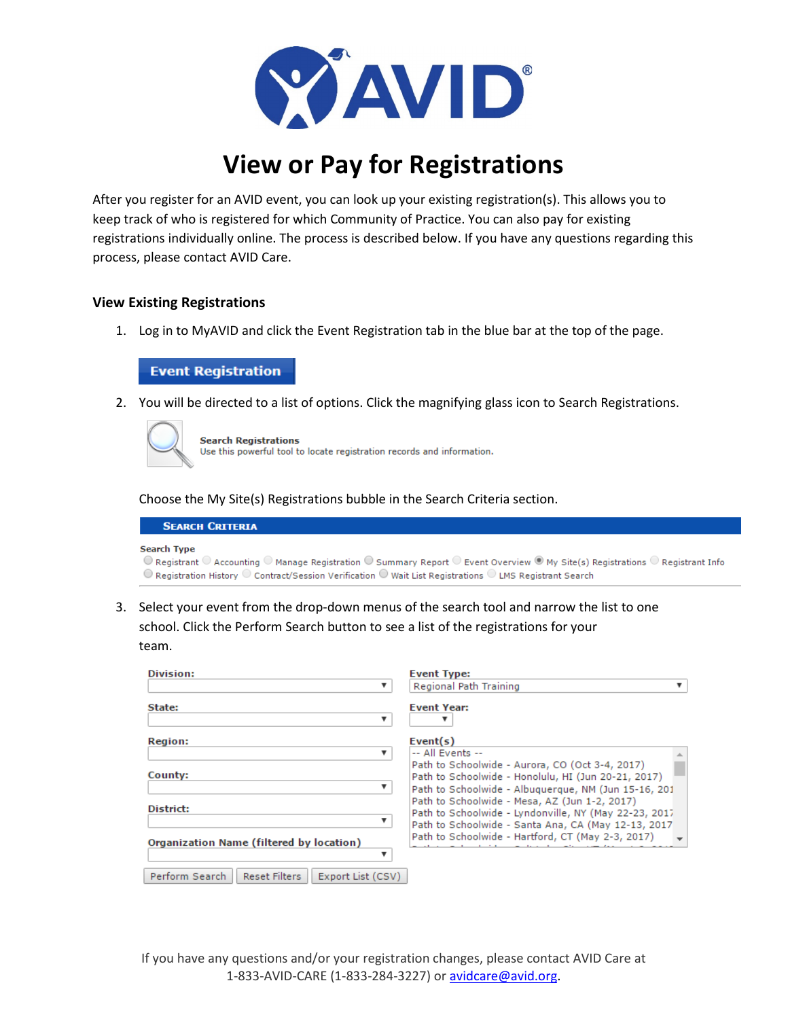

## **View or Pay for Registrations**

After you register for an AVID event, you can look up your existing registration(s). This allows you to keep track of who is registered for which Community of Practice. You can also pay for existing registrations individually online. The process is described below. If you have any questions regarding this process, please contact AVID Care.

## **View Existing Registrations**

1. Log in to MyAVID and click the Event Registration tab in the blue bar at the top of the page.

## **Event Registration**

2. You will be directed to a list of options. Click the magnifying glass icon to Search Registrations.



**Search Registrations** Use this powerful tool to locate registration records and information.

Choose the My Site(s) Registrations bubble in the Search Criteria section.

| <b>SEARCH CRITERIA</b>                                                                                                                                                                                                    |  |
|---------------------------------------------------------------------------------------------------------------------------------------------------------------------------------------------------------------------------|--|
| <b>Search Type</b>                                                                                                                                                                                                        |  |
| $\circledcirc$ Registrant $\circledcirc$ Accounting $\circledcirc$ Manage Registration $\circledcirc$ Summary Report $\circledcirc$ Event Overview $\circledcirc$ My Site(s) Registrations $\circledcirc$ Registrant Info |  |
| $\odot$ Registration History $\odot$ Contract/Session Verification $\odot$ Wait List Registrations $\odot$ LMS Registrant Search                                                                                          |  |

3. Select your event from the drop-down menus of the search tool and narrow the list to one school. Click the Perform Search button to see a list of the registrations for your team.

| <b>Division:</b>                                            | <b>Event Type:</b>                                                                                                                                                                  |
|-------------------------------------------------------------|-------------------------------------------------------------------------------------------------------------------------------------------------------------------------------------|
|                                                             | Regional Path Training                                                                                                                                                              |
| State:<br>v                                                 | <b>Event Year:</b>                                                                                                                                                                  |
| <b>Region:</b>                                              | Event(s)                                                                                                                                                                            |
| County:<br>▼                                                | -- All Events --<br>Path to Schoolwide - Aurora, CO (Oct 3-4, 2017)<br>Path to Schoolwide - Honolulu, HI (Jun 20-21, 2017)<br>Path to Schoolwide - Albuguergue, NM (Jun 15-16, 201) |
| District:                                                   | Path to Schoolwide - Mesa, AZ (Jun 1-2, 2017)<br>Path to Schoolwide - Lyndonville, NY (May 22-23, 2017)<br>Path to Schoolwide - Santa Ana, CA (May 12-13, 2017)                     |
| Organization Name (filtered by location)                    | Path to Schoolwide - Hartford, CT (May 2-3, 2017)                                                                                                                                   |
| Perform Search<br><b>Reset Filters</b><br>Export List (CSV) |                                                                                                                                                                                     |

If you have any questions and/or your registration changes, please contact AVID Care at 1-833-AVID-CARE (1-833-284-3227) o[r avidcare@avid.org.](mailto:avidcare@avid.org)